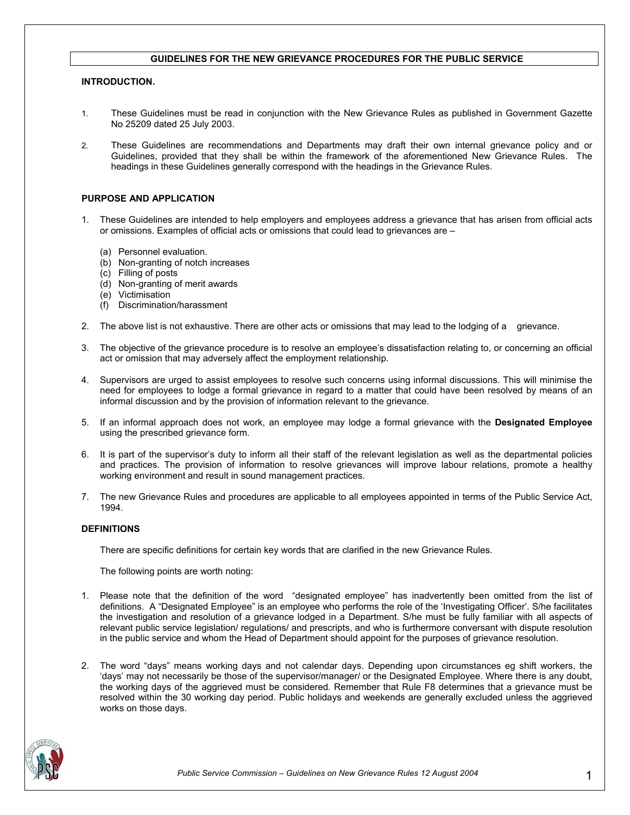### **GUIDELINES FOR THE NEW GRIEVANCE PROCEDURES FOR THE PUBLIC SERVICE**

### **INTRODUCTION.**

- 1. These Guidelines must be read in conjunction with the New Grievance Rules as published in Government Gazette No 25209 dated 25 July 2003.
- 2. These Guidelines are recommendations and Departments may draft their own internal grievance policy and or Guidelines, provided that they shall be within the framework of the aforementioned New Grievance Rules. The headings in these Guidelines generally correspond with the headings in the Grievance Rules.

## **PURPOSE AND APPLICATION**

- 1. These Guidelines are intended to help employers and employees address a grievance that has arisen from official acts or omissions. Examples of official acts or omissions that could lead to grievances are –
	- (a) Personnel evaluation.
	- (b) Non-granting of notch increases
	- (c) Filling of posts
	- (d) Non-granting of merit awards
	- (e) Victimisation
	- (f) Discrimination/harassment
- 2. The above list is not exhaustive. There are other acts or omissions that may lead to the lodging of a grievance.
- 3. The objective of the grievance procedure is to resolve an employee's dissatisfaction relating to, or concerning an official act or omission that may adversely affect the employment relationship.
- 4. Supervisors are urged to assist employees to resolve such concerns using informal discussions. This will minimise the need for employees to lodge a formal grievance in regard to a matter that could have been resolved by means of an informal discussion and by the provision of information relevant to the grievance.
- 5. If an informal approach does not work, an employee may lodge a formal grievance with the **Designated Employee** using the prescribed grievance form.
- 6. It is part of the supervisor's duty to inform all their staff of the relevant legislation as well as the departmental policies and practices. The provision of information to resolve grievances will improve labour relations, promote a healthy working environment and result in sound management practices.
- 7. The new Grievance Rules and procedures are applicable to all employees appointed in terms of the Public Service Act, 1994.

### **DEFINITIONS**

There are specific definitions for certain key words that are clarified in the new Grievance Rules.

The following points are worth noting:

- 1. Please note that the definition of the word "designated employee" has inadvertently been omitted from the list of definitions. A "Designated Employee" is an employee who performs the role of the 'Investigating Officer'. S/he facilitates the investigation and resolution of a grievance lodged in a Department. S/he must be fully familiar with all aspects of relevant public service legislation/ regulations/ and prescripts, and who is furthermore conversant with dispute resolution in the public service and whom the Head of Department should appoint for the purposes of grievance resolution.
- 2. The word "days" means working days and not calendar days. Depending upon circumstances eg shift workers, the 'days' may not necessarily be those of the supervisor/manager/ or the Designated Employee. Where there is any doubt, the working days of the aggrieved must be considered. Remember that Rule F8 determines that a grievance must be resolved within the 30 working day period. Public holidays and weekends are generally excluded unless the aggrieved works on those days.

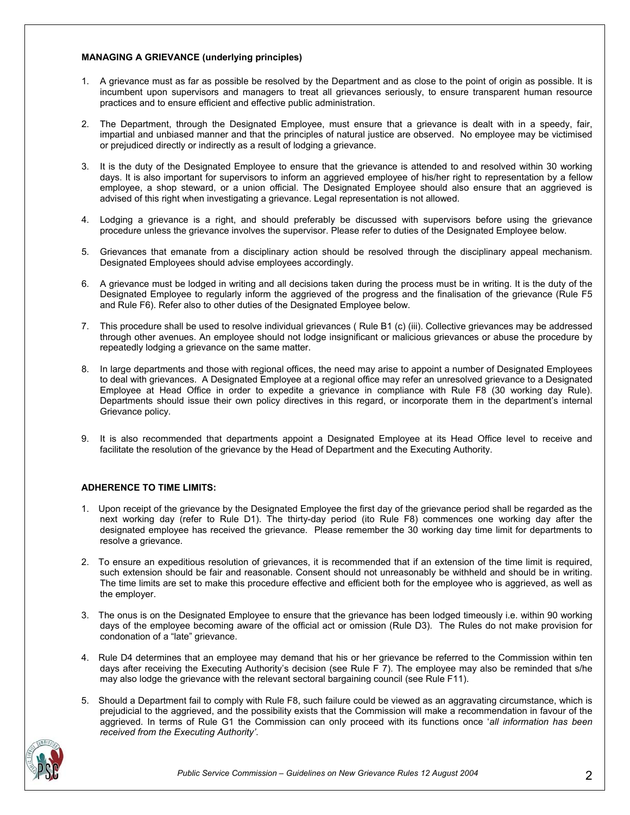### **MANAGING A GRIEVANCE (underlying principles)**

- 1. A grievance must as far as possible be resolved by the Department and as close to the point of origin as possible. It is incumbent upon supervisors and managers to treat all grievances seriously, to ensure transparent human resource practices and to ensure efficient and effective public administration.
- 2. The Department, through the Designated Employee, must ensure that a grievance is dealt with in a speedy, fair, impartial and unbiased manner and that the principles of natural justice are observed. No employee may be victimised or prejudiced directly or indirectly as a result of lodging a grievance.
- 3. It is the duty of the Designated Employee to ensure that the grievance is attended to and resolved within 30 working days. It is also important for supervisors to inform an aggrieved employee of his/her right to representation by a fellow employee, a shop steward, or a union official. The Designated Employee should also ensure that an aggrieved is advised of this right when investigating a grievance. Legal representation is not allowed.
- 4. Lodging a grievance is a right, and should preferably be discussed with supervisors before using the grievance procedure unless the grievance involves the supervisor. Please refer to duties of the Designated Employee below.
- 5. Grievances that emanate from a disciplinary action should be resolved through the disciplinary appeal mechanism. Designated Employees should advise employees accordingly.
- 6. A grievance must be lodged in writing and all decisions taken during the process must be in writing. It is the duty of the Designated Employee to regularly inform the aggrieved of the progress and the finalisation of the grievance (Rule F5 and Rule F6). Refer also to other duties of the Designated Employee below.
- 7. This procedure shall be used to resolve individual grievances ( Rule B1 (c) (iii). Collective grievances may be addressed through other avenues. An employee should not lodge insignificant or malicious grievances or abuse the procedure by repeatedly lodging a grievance on the same matter.
- 8. In large departments and those with regional offices, the need may arise to appoint a number of Designated Employees to deal with grievances. A Designated Employee at a regional office may refer an unresolved grievance to a Designated Employee at Head Office in order to expedite a grievance in compliance with Rule F8 (30 working day Rule). Departments should issue their own policy directives in this regard, or incorporate them in the department's internal Grievance policy.
- 9. It is also recommended that departments appoint a Designated Employee at its Head Office level to receive and facilitate the resolution of the grievance by the Head of Department and the Executing Authority.

# **ADHERENCE TO TIME LIMITS:**

- 1. Upon receipt of the grievance by the Designated Employee the first day of the grievance period shall be regarded as the next working day (refer to Rule D1). The thirty-day period (ito Rule F8) commences one working day after the designated employee has received the grievance. Please remember the 30 working day time limit for departments to resolve a grievance.
- 2. To ensure an expeditious resolution of grievances, it is recommended that if an extension of the time limit is required, such extension should be fair and reasonable. Consent should not unreasonably be withheld and should be in writing. The time limits are set to make this procedure effective and efficient both for the employee who is aggrieved, as well as the employer.
- 3. The onus is on the Designated Employee to ensure that the grievance has been lodged timeously i.e. within 90 working days of the employee becoming aware of the official act or omission (Rule D3). The Rules do not make provision for condonation of a "late" grievance.
- 4. Rule D4 determines that an employee may demand that his or her grievance be referred to the Commission within ten days after receiving the Executing Authority's decision (see Rule F 7). The employee may also be reminded that s/he may also lodge the grievance with the relevant sectoral bargaining council (see Rule F11).
- 5. Should a Department fail to comply with Rule F8, such failure could be viewed as an aggravating circumstance, which is prejudicial to the aggrieved, and the possibility exists that the Commission will make a recommendation in favour of the aggrieved. In terms of Rule G1 the Commission can only proceed with its functions once '*all information has been received from the Executing Authority'*.

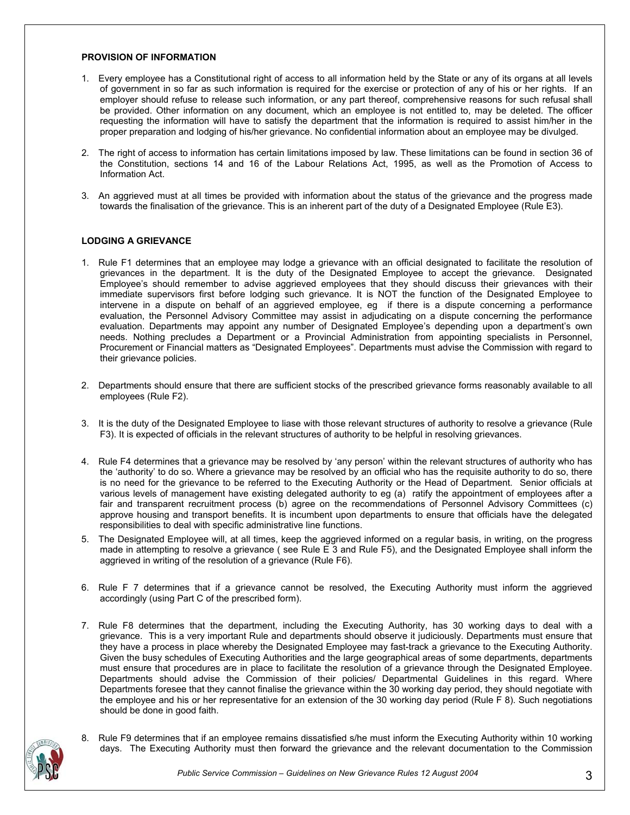### **PROVISION OF INFORMATION**

- 1. Every employee has a Constitutional right of access to all information held by the State or any of its organs at all levels of government in so far as such information is required for the exercise or protection of any of his or her rights. If an employer should refuse to release such information, or any part thereof, comprehensive reasons for such refusal shall be provided. Other information on any document, which an employee is not entitled to, may be deleted. The officer requesting the information will have to satisfy the department that the information is required to assist him/her in the proper preparation and lodging of his/her grievance. No confidential information about an employee may be divulged.
- 2. The right of access to information has certain limitations imposed by law. These limitations can be found in section 36 of the Constitution, sections 14 and 16 of the Labour Relations Act, 1995, as well as the Promotion of Access to Information Act.
- 3. An aggrieved must at all times be provided with information about the status of the grievance and the progress made towards the finalisation of the grievance. This is an inherent part of the duty of a Designated Employee (Rule E3).

# **LODGING A GRIEVANCE**

- 1. Rule F1 determines that an employee may lodge a grievance with an official designated to facilitate the resolution of grievances in the department. It is the duty of the Designated Employee to accept the grievance. Designated Employee's should remember to advise aggrieved employees that they should discuss their grievances with their immediate supervisors first before lodging such grievance. It is NOT the function of the Designated Employee to intervene in a dispute on behalf of an aggrieved employee, eg if there is a dispute concerning a performance evaluation, the Personnel Advisory Committee may assist in adjudicating on a dispute concerning the performance evaluation. Departments may appoint any number of Designated Employee's depending upon a department's own needs. Nothing precludes a Department or a Provincial Administration from appointing specialists in Personnel, Procurement or Financial matters as "Designated Employees". Departments must advise the Commission with regard to their grievance policies.
- 2. Departments should ensure that there are sufficient stocks of the prescribed grievance forms reasonably available to all employees (Rule F2).
- 3. It is the duty of the Designated Employee to liase with those relevant structures of authority to resolve a grievance (Rule F3). It is expected of officials in the relevant structures of authority to be helpful in resolving grievances.
- 4. Rule F4 determines that a grievance may be resolved by 'any person' within the relevant structures of authority who has the 'authority' to do so. Where a grievance may be resolved by an official who has the requisite authority to do so, there is no need for the grievance to be referred to the Executing Authority or the Head of Department. Senior officials at various levels of management have existing delegated authority to eg (a) ratify the appointment of employees after a fair and transparent recruitment process (b) agree on the recommendations of Personnel Advisory Committees (c) approve housing and transport benefits. It is incumbent upon departments to ensure that officials have the delegated responsibilities to deal with specific administrative line functions.
- 5. The Designated Employee will, at all times, keep the aggrieved informed on a regular basis, in writing, on the progress made in attempting to resolve a grievance ( see Rule E 3 and Rule F5), and the Designated Employee shall inform the aggrieved in writing of the resolution of a grievance (Rule F6).
- 6. Rule F 7 determines that if a grievance cannot be resolved, the Executing Authority must inform the aggrieved accordingly (using Part C of the prescribed form).
- 7. Rule F8 determines that the department, including the Executing Authority, has 30 working days to deal with a grievance. This is a very important Rule and departments should observe it judiciously. Departments must ensure that they have a process in place whereby the Designated Employee may fast-track a grievance to the Executing Authority. Given the busy schedules of Executing Authorities and the large geographical areas of some departments, departments must ensure that procedures are in place to facilitate the resolution of a grievance through the Designated Employee. Departments should advise the Commission of their policies/ Departmental Guidelines in this regard. Where Departments foresee that they cannot finalise the grievance within the 30 working day period, they should negotiate with the employee and his or her representative for an extension of the 30 working day period (Rule F 8). Such negotiations should be done in good faith.
- 8. Rule F9 determines that if an employee remains dissatisfied s/he must inform the Executing Authority within 10 working days. The Executing Authority must then forward the grievance and the relevant documentation to the Commission

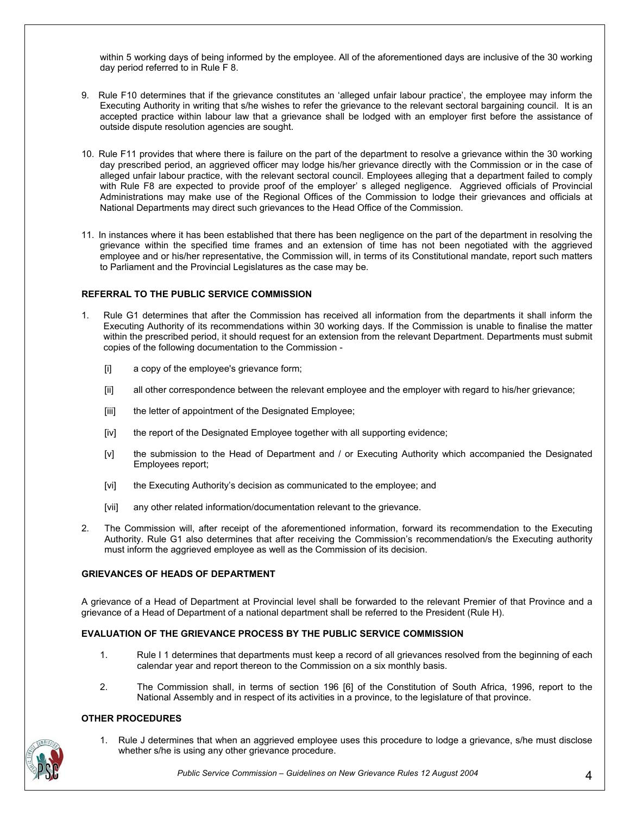within 5 working days of being informed by the employee. All of the aforementioned days are inclusive of the 30 working day period referred to in Rule F 8.

- 9. Rule F10 determines that if the grievance constitutes an 'alleged unfair labour practice', the employee may inform the Executing Authority in writing that s/he wishes to refer the grievance to the relevant sectoral bargaining council. It is an accepted practice within labour law that a grievance shall be lodged with an employer first before the assistance of outside dispute resolution agencies are sought.
- 10. Rule F11 provides that where there is failure on the part of the department to resolve a grievance within the 30 working day prescribed period, an aggrieved officer may lodge his/her grievance directly with the Commission or in the case of alleged unfair labour practice, with the relevant sectoral council. Employees alleging that a department failed to comply with Rule F8 are expected to provide proof of the employer' s alleged negligence. Aggrieved officials of Provincial Administrations may make use of the Regional Offices of the Commission to lodge their grievances and officials at National Departments may direct such grievances to the Head Office of the Commission.
- 11. In instances where it has been established that there has been negligence on the part of the department in resolving the grievance within the specified time frames and an extension of time has not been negotiated with the aggrieved employee and or his/her representative, the Commission will, in terms of its Constitutional mandate, report such matters to Parliament and the Provincial Legislatures as the case may be.

### **REFERRAL TO THE PUBLIC SERVICE COMMISSION**

- 1. Rule G1 determines that after the Commission has received all information from the departments it shall inform the Executing Authority of its recommendations within 30 working days. If the Commission is unable to finalise the matter within the prescribed period, it should request for an extension from the relevant Department. Departments must submit copies of the following documentation to the Commission -
	- [i] a copy of the employee's grievance form;
	- [ii] all other correspondence between the relevant employee and the employer with regard to his/her grievance;
	- [iii] the letter of appointment of the Designated Employee;
	- [iv] the report of the Designated Employee together with all supporting evidence;
	- [v] the submission to the Head of Department and / or Executing Authority which accompanied the Designated Employees report;
	- [vi] the Executing Authority's decision as communicated to the employee; and
	- [vii] any other related information/documentation relevant to the grievance.
- 2. The Commission will, after receipt of the aforementioned information, forward its recommendation to the Executing Authority. Rule G1 also determines that after receiving the Commission's recommendation/s the Executing authority must inform the aggrieved employee as well as the Commission of its decision.

# **GRIEVANCES OF HEADS OF DEPARTMENT**

A grievance of a Head of Department at Provincial level shall be forwarded to the relevant Premier of that Province and a grievance of a Head of Department of a national department shall be referred to the President (Rule H).

# **EVALUATION OF THE GRIEVANCE PROCESS BY THE PUBLIC SERVICE COMMISSION**

- 1. Rule I 1 determines that departments must keep a record of all grievances resolved from the beginning of each calendar year and report thereon to the Commission on a six monthly basis.
- 2. The Commission shall, in terms of section 196 [6] of the Constitution of South Africa, 1996, report to the National Assembly and in respect of its activities in a province, to the legislature of that province.

# **OTHER PROCEDURES**

1. Rule J determines that when an aggrieved employee uses this procedure to lodge a grievance, s/he must disclose whether s/he is using any other grievance procedure.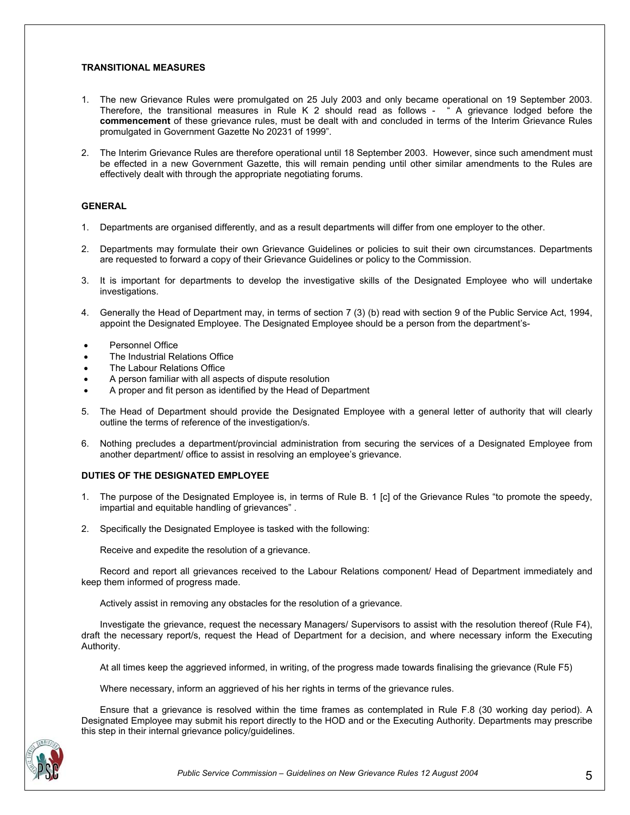#### **TRANSITIONAL MEASURES**

- 1. The new Grievance Rules were promulgated on 25 July 2003 and only became operational on 19 September 2003. Therefore, the transitional measures in Rule K 2 should read as follows - " A grievance lodged before the **commencement** of these grievance rules, must be dealt with and concluded in terms of the Interim Grievance Rules promulgated in Government Gazette No 20231 of 1999".
- 2. The Interim Grievance Rules are therefore operational until 18 September 2003. However, since such amendment must be effected in a new Government Gazette, this will remain pending until other similar amendments to the Rules are effectively dealt with through the appropriate negotiating forums.

### **GENERAL**

- 1. Departments are organised differently, and as a result departments will differ from one employer to the other.
- 2. Departments may formulate their own Grievance Guidelines or policies to suit their own circumstances. Departments are requested to forward a copy of their Grievance Guidelines or policy to the Commission.
- 3. It is important for departments to develop the investigative skills of the Designated Employee who will undertake investigations.
- 4. Generally the Head of Department may, in terms of section 7 (3) (b) read with section 9 of the Public Service Act, 1994, appoint the Designated Employee. The Designated Employee should be a person from the department's-
- Personnel Office
- The Industrial Relations Office
- The Labour Relations Office
- A person familiar with all aspects of dispute resolution
- A proper and fit person as identified by the Head of Department
- 5. The Head of Department should provide the Designated Employee with a general letter of authority that will clearly outline the terms of reference of the investigation/s.
- 6. Nothing precludes a department/provincial administration from securing the services of a Designated Employee from another department/ office to assist in resolving an employee's grievance.

#### **DUTIES OF THE DESIGNATED EMPLOYEE**

- 1. The purpose of the Designated Employee is, in terms of Rule B. 1 [c] of the Grievance Rules "to promote the speedy, impartial and equitable handling of grievances" .
- 2. Specifically the Designated Employee is tasked with the following:

Receive and expedite the resolution of a grievance.

 Record and report all grievances received to the Labour Relations component/ Head of Department immediately and keep them informed of progress made.

Actively assist in removing any obstacles for the resolution of a grievance.

 Investigate the grievance, request the necessary Managers/ Supervisors to assist with the resolution thereof (Rule F4), draft the necessary report/s, request the Head of Department for a decision, and where necessary inform the Executing Authority.

At all times keep the aggrieved informed, in writing, of the progress made towards finalising the grievance (Rule F5)

Where necessary, inform an aggrieved of his her rights in terms of the grievance rules.

 Ensure that a grievance is resolved within the time frames as contemplated in Rule F.8 (30 working day period). A Designated Employee may submit his report directly to the HOD and or the Executing Authority. Departments may prescribe this step in their internal grievance policy/guidelines.